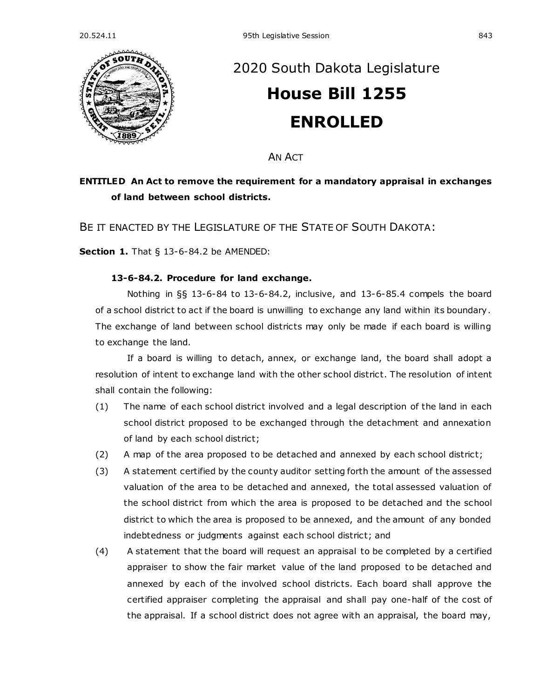

## [2020 South Dakota Legislature](https://sdlegislature.gov/Legislative_Session/Bills/Default.aspx?Session=2020) **[House Bill 1255](https://sdlegislature.gov/Legislative_Session/Bills/Bill.aspx?Bill=1255&Session=2020) ENROLLED**

AN ACT

## **ENTITLED An Act to remove the requirement for a mandatory appraisal in exchanges of land between school districts.**

BE IT ENACTED BY THE LEGISLATURE OF THE STATE OF SOUTH DAKOTA:

**Section 1.** [That § 13-6-84.2 be AMENDED:](https://sdlegislature.gov/Statutes/Codified_Laws/DisplayStatute.aspx?Type=Statute&Statute=13-6-84.2)

## **[13-6-84.2. P](https://sdlegislature.gov/Statutes/Codified_Laws/DisplayStatute.aspx?Type=Statute&Statute=13-6-84.2)rocedure for land exchange.**

Nothing in §§ [13-6-84](https://sdlegislature.gov/Statutes/Codified_Laws/DisplayStatute.aspx?Type=Statute&Statute=13-6-84) to [13-6-84.2,](https://sdlegislature.gov/Statutes/Codified_Laws/DisplayStatute.aspx?Type=Statute&Statute=13-6-84.2) inclusive, and [13-6-85.4](https://sdlegislature.gov/Statutes/Codified_Laws/DisplayStatute.aspx?Type=Statute&Statute=13-6-85.4) compels the board of a school district to act if the board is unwilling to exchange any land within its boundary . The exchange of land between school districts may only be made if each board is willing to exchange the land.

If a board is willing to detach, annex, or exchange land, the board shall adopt a resolution of intent to exchange land with the other school district. The resolution of intent shall contain the following:

- (1) The name of each school district involved and a legal description of the land in each school district proposed to be exchanged through the detachment and annexation of land by each school district;
- (2) A map of the area proposed to be detached and annexed by each school district;
- (3) A statement certified by the county auditor setting forth the amount of the assessed valuation of the area to be detached and annexed, the total assessed valuation of the school district from which the area is proposed to be detached and the school district to which the area is proposed to be annexed, and the amount of any bonded indebtedness or judgments against each school district; and
- (4) A statement that the board will request an appraisal to be completed by a certified appraiser to show the fair market value of the land proposed to be detached and annexed by each of the involved school districts. Each board shall approve the certified appraiser completing the appraisal and shall pay one-half of the cost of the appraisal. If a school district does not agree with an appraisal, the board may,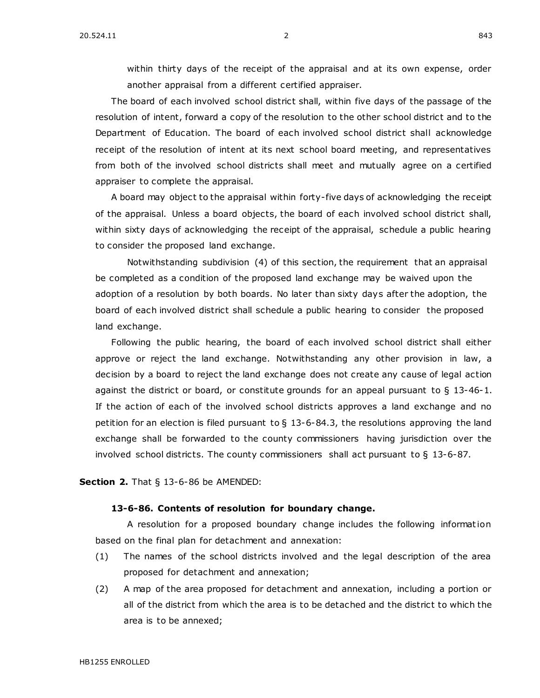within thirty days of the receipt of the appraisal and at its own expense, order another appraisal from a different certified appraiser.

The board of each involved school district shall, within five days of the passage of the resolution of intent, forward a copy of the resolution to the other school district and to the Department of Education. The board of each involved school district shall acknowledge receipt of the resolution of intent at its next school board meeting, and representatives from both of the involved school districts shall meet and mutually agree on a certified appraiser to complete the appraisal.

A board may object to the appraisal within forty-five days of acknowledging the receipt of the appraisal. Unless a board objects, the board of each involved school district shall, within sixty days of acknowledging the receipt of the appraisal, schedule a public hearing to consider the proposed land exchange.

Notwithstanding subdivision (4) of this section, the requirement that an appraisal be completed as a condition of the proposed land exchange may be waived upon the adoption of a resolution by both boards. No later than sixty days after the adoption, the board of each involved district shall schedule a public hearing to consider the proposed land exchange.

Following the public hearing, the board of each involved school district shall either approve or reject the land exchange. Notwithstanding any other provision in law, a decision by a board to reject the land exchange does not create any cause of legal action against the district or board, or constitute grounds for an appeal pursuant to  $\S$  [13-46-1.](https://sdlegislature.gov/Statutes/Codified_Laws/DisplayStatute.aspx?Type=Statute&Statute=13-46-1) If the action of each of the involved school districts approves a land exchange and no petition for an election is filed pursuant to  $\S$  [13-6-84.3,](https://sdlegislature.gov/Statutes/Codified_Laws/DisplayStatute.aspx?Type=Statute&Statute=13-6-84.3) the resolutions approving the land exchange shall be forwarded to the county commissioners having jurisdiction over the involved school districts. The county commissioners shall act pursuant to § [13-6-87.](https://sdlegislature.gov/Statutes/Codified_Laws/DisplayStatute.aspx?Type=Statute&Statute=13-6-87)

**Section 2.** [That § 13-6-86 be AMENDED:](https://sdlegislature.gov/Statutes/Codified_Laws/DisplayStatute.aspx?Type=Statute&Statute=13-6-86)

## **[13-6-86. C](https://sdlegislature.gov/Statutes/Codified_Laws/DisplayStatute.aspx?Type=Statute&Statute=13-6-86)ontents of resolution for boundary change.**

A resolution for a proposed boundary change includes the following information based on the final plan for detachment and annexation:

- (1) The names of the school districts involved and the legal description of the area proposed for detachment and annexation;
- (2) A map of the area proposed for detachment and annexation, including a portion or all of the district from which the area is to be detached and the district to which the area is to be annexed;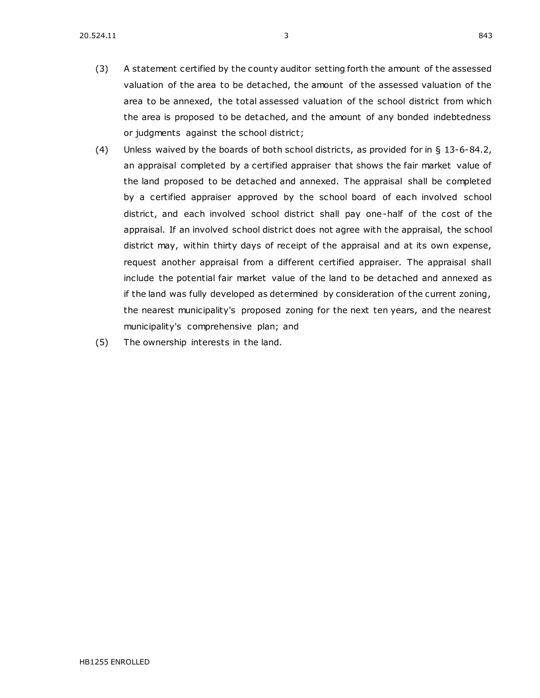- (3) A statement certified by the county auditor setting forth the amount of the assessed valuation of the area to be detached, the amount of the assessed valuation of the area to be annexed, the total assessed valuation of the school district from which the area is proposed to be detached, and the amount of any bonded indebtedness or judgments against the school district;
- (4) Unless waived by the boards of both school districts, as provided for in § [13-6-84.2,](https://sdlegislature.gov/Statutes/Codified_Laws/DisplayStatute.aspx?Type=Statute&Statute=13-6-84.2) an appraisal completed by a certified appraiser that shows the fair market value of the land proposed to be detached and annexed. The appraisal shall be completed by a certified appraiser approved by the school board of each involved school district, and each involved school district shall pay one-half of the cost of the appraisal. If an involved school district does not agree with the appraisal, the school district may, within thirty days of receipt of the appraisal and at its own expense, request another appraisal from a different certified appraiser. The appraisal shall include the potential fair market value of the land to be detached and annexed as if the land was fully developed as determined by consideration of the current zoning, the nearest municipality's proposed zoning for the next ten years, and the nearest municipality's comprehensive plan; and
- (5) The ownership interests in the land.